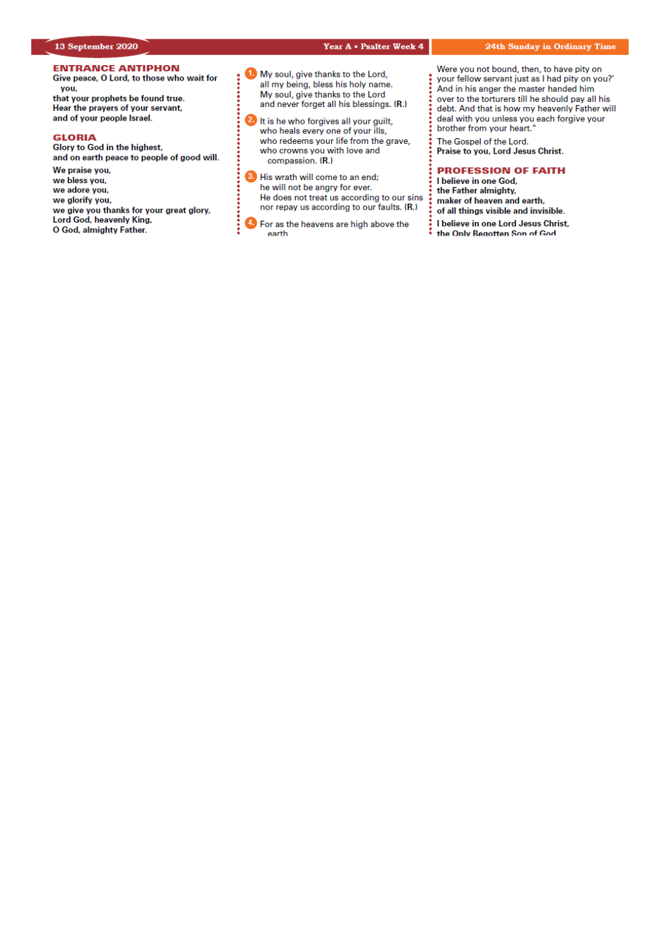# *Our Lady & St Edmund of Abingdon 1 Radley Rd, Abingdon on Thames, Oxon, OX14 3PL*

We are a **LiveSimply** parish aiming to live Simply, Sustainably and in Solidarity with the Poor

| Parish Priest:              | Fr. Jamie McGrath                                               | Tel: 01235 520375 |
|-----------------------------|-----------------------------------------------------------------|-------------------|
| Parish Secretary:           | Lisa Paterson                                                   | Tel: 01235 520375 |
| Office Hours:               | 10.30am-12.30pm Tuesday to Friday                               |                   |
| Office Email:               | abingdon@portsmouthdiocese.org.uk                               |                   |
| We live stream all services |                                                                 |                   |
| Safeguarding Team:          | Tel. 07572 935 230                                              |                   |
| Visits at JR Hospital:      | Fr Pius 01865 221732                                            |                   |
| Visits and Help:            | Society of Vincent de Paul Group, contact via Parish Office     |                   |
| Parish Website:             | www.ourladyandstedmund.org.uk                                   |                   |
| Primary School:             | St. Edmund's School, Radley Road, Abingdon, OX14 3PP Tel 521558 |                   |
|                             |                                                                 |                   |



**CONFESSIONS:** For now, this is by appointment only. Please contact the parish office to make a booking.

#### **PRIVATE PRAYER**

The church will be open for **private prayer only**, between **12.00pm and 1.00pm on Tuesdays** and **Fridays**.

## **MASS BOOKINGS**

Please remember that *bookings for the whole week beginning Sunday 20th Sept. to Saturday 26th Sept.*  should be made on *Monday 14th September*. Do please *try and give us several options for days/times* when you could come and let us know *how many people you are booking for*. We will do our best to accommodate your request. If you would like to attend more than one Mass in the week, please make this clear when you book.

- o Those people *without* Internet access can phone **07395 946827** between 10am and 11am **each Monday** to give the day of the week when they are able to attend Mass. *There is no recorded answering message system.* Please do not use the office phone number or phone outside of this time period.
- o Those *with* Internet access are asked **not** to use the phone booking system, but instead to email us at: *contact@ourladyandstedmund.org.uk* giving us 2 to 3 possible days of the week when you can attend Mass. Please do this **each Monday**. You will then receive a reply with the day allocated to you.
- o In all cases, you are asked to state the number in your family who will be attending Mass. This is essential for our planning and to maintain safety distances.
- o Be aware that singing is not yet permitted under the guidelines. Also, there will be no collection basket passed around, but you may leave donations as you leave the Church.
- o Please note that there are currently only **two** Sunday Masses – one at **10.15am and the other at 6.30pm**.

Thank you all very much for your patience and help.

Roman Catholic Diocese of Portsmouth Reg. Charity No 246871 www.portsmouthdiocese.org.uk

#### **24th week of Ordinary Time** *In Church for those who booked, and also live streamed*

#### **Sunday 13 September**

| $10.15$ am         | Mass        | (Alexandra Paterson, intentions) |
|--------------------|-------------|----------------------------------|
| 1.00 <sub>pm</sub> | Polish Mass |                                  |
| 6.30 <sub>pm</sub> | Mass        | (Lisa Paterson, intentions)      |

## **Monday 14 September (The Exaltation of the Holy Cross)**

9am Mass (William James Ferguson, RIP)

## **Tuesday 15 September (Our Lady of Sorrows)**

NO Mass See: *www.ourladyandstedmund.org.uk/englishmartyrs-vale-of-white-horse* for other masses

## **Wednesday 16 September (Ss Cornelius & Cyprian)**

7pm Mass (In thanksgiving – Kolb family)

**Thursday 17 September** 

9.30am Mass (Andrew Sweeney, RIP)

**Friday 18 September** 7pm Mass (Eddie Jarman, RIP)

**Saturday 19 September**  12pm Mass

## **FRIDAY 25th SEPTEMBER MASS**

Please note, that due to a Confirmation service, there will be no Mass for parishioners on this date.



## **No Internet Access?**

Phone 07395 946827 EACH MONDAY between 10am and 11am ONLY to book a place for the FOLLOWING week

## **Have Internet Access?**

**DON'T phone. Instead, email:** contact@ourladyandstedmund.org.uk **EACH MONDAY, to book a place for the FOLLOWING week**